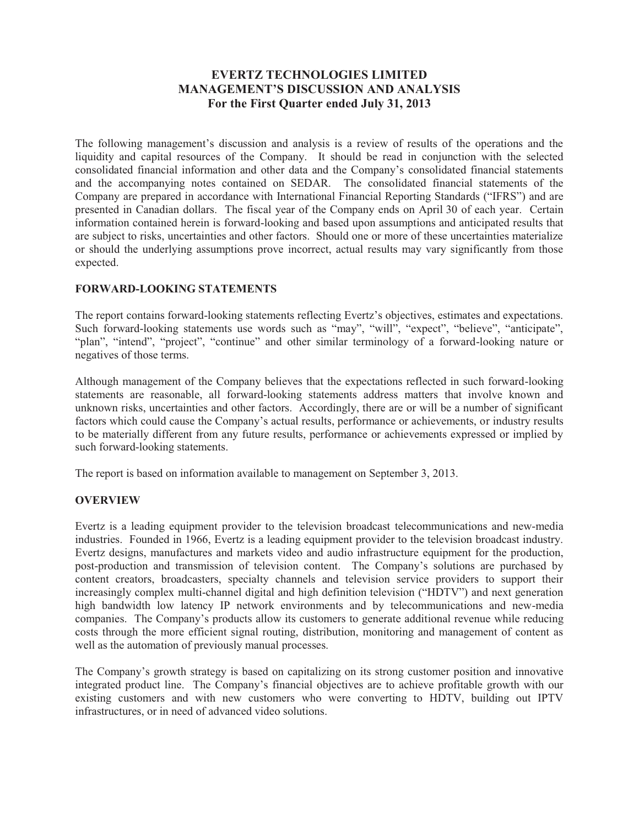## **EVERTZ TECHNOLOGIES LIMITED MANAGEMENT'S DISCUSSION AND ANALYSIS For the First Quarter ended July 31, 2013**

The following management's discussion and analysis is a review of results of the operations and the liquidity and capital resources of the Company. It should be read in conjunction with the selected consolidated financial information and other data and the Company's consolidated financial statements and the accompanying notes contained on SEDAR. The consolidated financial statements of the Company are prepared in accordance with International Financial Reporting Standards ("IFRS") and are presented in Canadian dollars. The fiscal year of the Company ends on April 30 of each year. Certain information contained herein is forward-looking and based upon assumptions and anticipated results that are subject to risks, uncertainties and other factors. Should one or more of these uncertainties materialize or should the underlying assumptions prove incorrect, actual results may vary significantly from those expected.

### **FORWARD-LOOKING STATEMENTS**

The report contains forward-looking statements reflecting Evertz's objectives, estimates and expectations. Such forward-looking statements use words such as "may", "will", "expect", "believe", "anticipate", "plan", "intend", "project", "continue" and other similar terminology of a forward-looking nature or negatives of those terms.

Although management of the Company believes that the expectations reflected in such forward-looking statements are reasonable, all forward-looking statements address matters that involve known and unknown risks, uncertainties and other factors. Accordingly, there are or will be a number of significant factors which could cause the Company's actual results, performance or achievements, or industry results to be materially different from any future results, performance or achievements expressed or implied by such forward-looking statements.

The report is based on information available to management on September 3, 2013.

### **OVERVIEW**

Evertz is a leading equipment provider to the television broadcast telecommunications and new-media industries. Founded in 1966, Evertz is a leading equipment provider to the television broadcast industry. Evertz designs, manufactures and markets video and audio infrastructure equipment for the production, post-production and transmission of television content. The Company's solutions are purchased by content creators, broadcasters, specialty channels and television service providers to support their increasingly complex multi-channel digital and high definition television ("HDTV") and next generation high bandwidth low latency IP network environments and by telecommunications and new-media companies. The Company's products allow its customers to generate additional revenue while reducing costs through the more efficient signal routing, distribution, monitoring and management of content as well as the automation of previously manual processes.

The Company's growth strategy is based on capitalizing on its strong customer position and innovative integrated product line. The Company's financial objectives are to achieve profitable growth with our existing customers and with new customers who were converting to HDTV, building out IPTV infrastructures, or in need of advanced video solutions.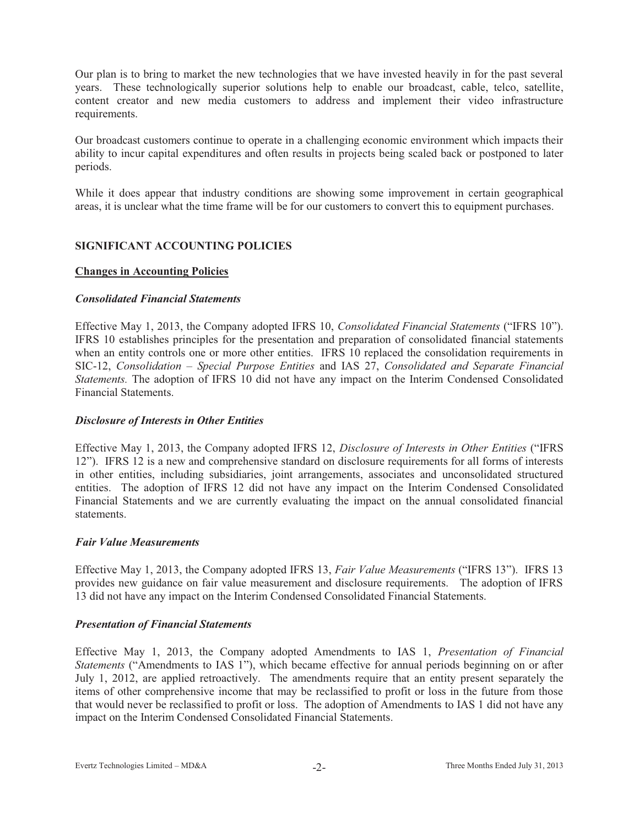Our plan is to bring to market the new technologies that we have invested heavily in for the past several years. These technologically superior solutions help to enable our broadcast, cable, telco, satellite, content creator and new media customers to address and implement their video infrastructure requirements.

Our broadcast customers continue to operate in a challenging economic environment which impacts their ability to incur capital expenditures and often results in projects being scaled back or postponed to later periods.

While it does appear that industry conditions are showing some improvement in certain geographical areas, it is unclear what the time frame will be for our customers to convert this to equipment purchases.

#### **SIGNIFICANT ACCOUNTING POLICIES**

#### **Changes in Accounting Policies**

#### *Consolidated Financial Statements*

Effective May 1, 2013, the Company adopted IFRS 10, *Consolidated Financial Statements* ("IFRS 10"). IFRS 10 establishes principles for the presentation and preparation of consolidated financial statements when an entity controls one or more other entities. IFRS 10 replaced the consolidation requirements in SIC-12, *Consolidation – Special Purpose Entities* and IAS 27, *Consolidated and Separate Financial Statements.* The adoption of IFRS 10 did not have any impact on the Interim Condensed Consolidated Financial Statements.

#### *Disclosure of Interests in Other Entities*

Effective May 1, 2013, the Company adopted IFRS 12, *Disclosure of Interests in Other Entities* ("IFRS 12"). IFRS 12 is a new and comprehensive standard on disclosure requirements for all forms of interests in other entities, including subsidiaries, joint arrangements, associates and unconsolidated structured entities. The adoption of IFRS 12 did not have any impact on the Interim Condensed Consolidated Financial Statements and we are currently evaluating the impact on the annual consolidated financial statements.

#### *Fair Value Measurements*

Effective May 1, 2013, the Company adopted IFRS 13, *Fair Value Measurements* ("IFRS 13"). IFRS 13 provides new guidance on fair value measurement and disclosure requirements. The adoption of IFRS 13 did not have any impact on the Interim Condensed Consolidated Financial Statements.

#### *Presentation of Financial Statements*

Effective May 1, 2013, the Company adopted Amendments to IAS 1, *Presentation of Financial Statements* ("Amendments to IAS 1"), which became effective for annual periods beginning on or after July 1, 2012, are applied retroactively. The amendments require that an entity present separately the items of other comprehensive income that may be reclassified to profit or loss in the future from those that would never be reclassified to profit or loss. The adoption of Amendments to IAS 1 did not have any impact on the Interim Condensed Consolidated Financial Statements.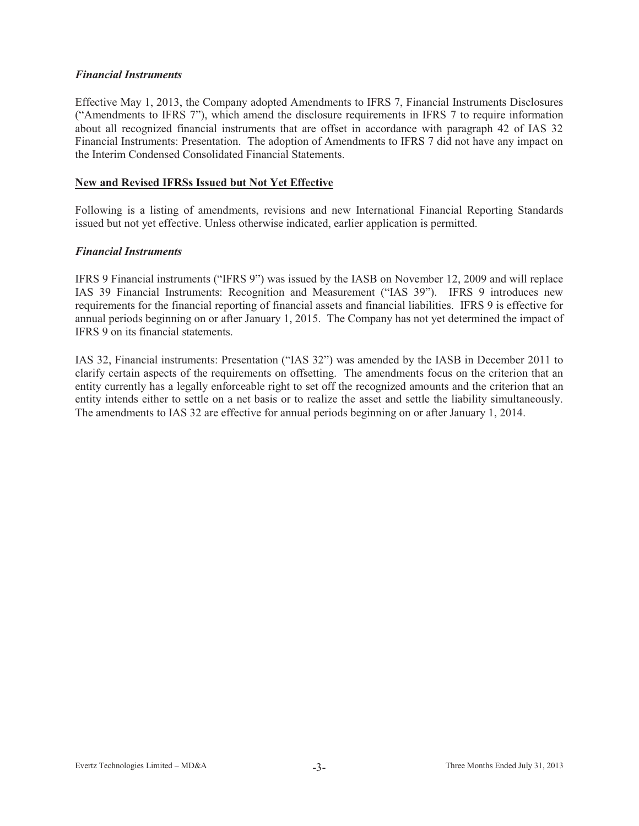#### *Financial Instruments*

Effective May 1, 2013, the Company adopted Amendments to IFRS 7, Financial Instruments Disclosures ("Amendments to IFRS 7"), which amend the disclosure requirements in IFRS 7 to require information about all recognized financial instruments that are offset in accordance with paragraph 42 of IAS 32 Financial Instruments: Presentation. The adoption of Amendments to IFRS 7 did not have any impact on the Interim Condensed Consolidated Financial Statements.

#### **New and Revised IFRSs Issued but Not Yet Effective**

Following is a listing of amendments, revisions and new International Financial Reporting Standards issued but not yet effective. Unless otherwise indicated, earlier application is permitted.

#### *Financial Instruments*

IFRS 9 Financial instruments ("IFRS 9") was issued by the IASB on November 12, 2009 and will replace IAS 39 Financial Instruments: Recognition and Measurement ("IAS 39"). IFRS 9 introduces new requirements for the financial reporting of financial assets and financial liabilities. IFRS 9 is effective for annual periods beginning on or after January 1, 2015. The Company has not yet determined the impact of IFRS 9 on its financial statements.

IAS 32, Financial instruments: Presentation ("IAS 32") was amended by the IASB in December 2011 to clarify certain aspects of the requirements on offsetting. The amendments focus on the criterion that an entity currently has a legally enforceable right to set off the recognized amounts and the criterion that an entity intends either to settle on a net basis or to realize the asset and settle the liability simultaneously. The amendments to IAS 32 are effective for annual periods beginning on or after January 1, 2014.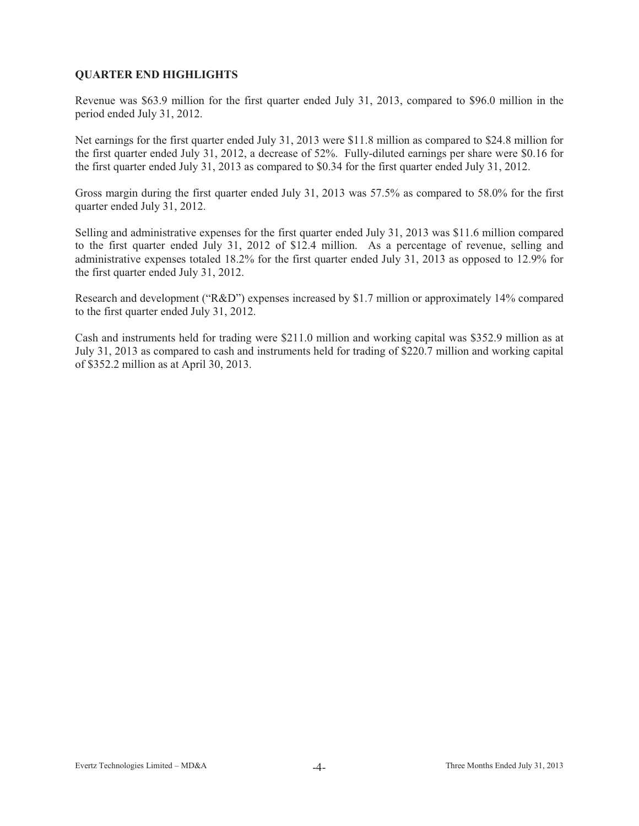### **QUARTER END HIGHLIGHTS**

Revenue was \$63.9 million for the first quarter ended July 31, 2013, compared to \$96.0 million in the period ended July 31, 2012.

Net earnings for the first quarter ended July 31, 2013 were \$11.8 million as compared to \$24.8 million for the first quarter ended July 31, 2012, a decrease of 52%. Fully-diluted earnings per share were \$0.16 for the first quarter ended July 31, 2013 as compared to \$0.34 for the first quarter ended July 31, 2012.

Gross margin during the first quarter ended July 31, 2013 was 57.5% as compared to 58.0% for the first quarter ended July 31, 2012.

Selling and administrative expenses for the first quarter ended July 31, 2013 was \$11.6 million compared to the first quarter ended July 31, 2012 of \$12.4 million. As a percentage of revenue, selling and administrative expenses totaled 18.2% for the first quarter ended July 31, 2013 as opposed to 12.9% for the first quarter ended July 31, 2012.

Research and development ("R&D") expenses increased by \$1.7 million or approximately 14% compared to the first quarter ended July 31, 2012.

Cash and instruments held for trading were \$211.0 million and working capital was \$352.9 million as at July 31, 2013 as compared to cash and instruments held for trading of \$220.7 million and working capital of \$352.2 million as at April 30, 2013.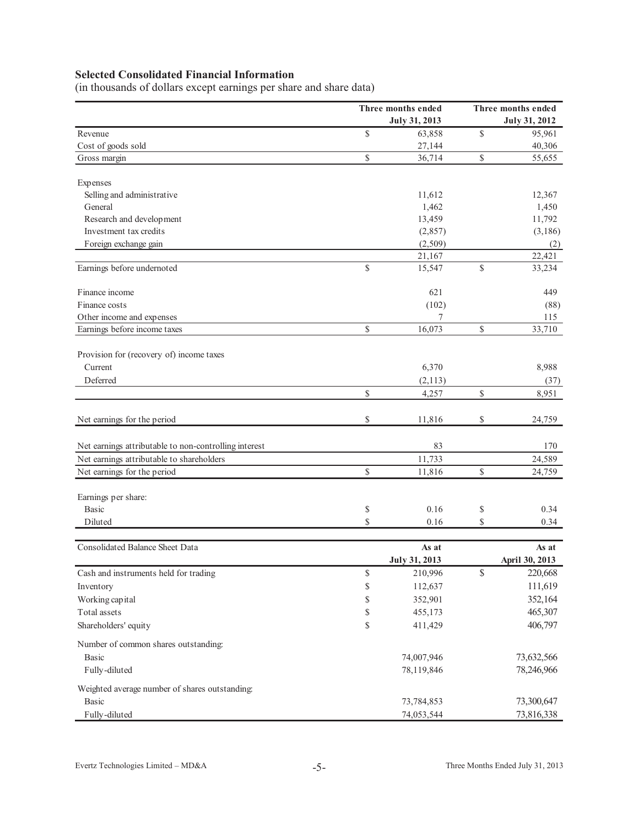# **Selected Consolidated Financial Information**

(in thousands of dollars except earnings per share and share data)

|                                                       |              | Three months ended   | Three months ended   |                |  |  |  |
|-------------------------------------------------------|--------------|----------------------|----------------------|----------------|--|--|--|
|                                                       |              | <b>July 31, 2013</b> | <b>July 31, 2012</b> |                |  |  |  |
| Revenue                                               | $\mathbb{S}$ | 63,858               | \$                   | 95,961         |  |  |  |
| Cost of goods sold                                    |              | 27,144               |                      | 40,306         |  |  |  |
| Gross margin                                          | \$           | 36,714               | \$                   | 55,655         |  |  |  |
| Expenses                                              |              |                      |                      |                |  |  |  |
| Selling and administrative                            |              | 11,612               |                      | 12,367         |  |  |  |
| General                                               |              | 1,462                |                      | 1,450          |  |  |  |
| Research and development                              |              | 13,459               |                      | 11,792         |  |  |  |
| Investment tax credits                                |              | (2,857)              |                      | (3,186)        |  |  |  |
| Foreign exchange gain                                 |              | (2,509)              |                      | (2)            |  |  |  |
|                                                       |              | 21,167               |                      | 22,421         |  |  |  |
| Earnings before undernoted                            | $\mathbb{S}$ | 15,547               | \$                   | 33,234         |  |  |  |
| Finance income                                        |              | 621                  |                      | 449            |  |  |  |
| Finance costs                                         |              | (102)                |                      | (88)           |  |  |  |
| Other income and expenses                             |              |                      |                      | 115            |  |  |  |
| Earnings before income taxes                          | \$           | 16,073               | \$                   | 33,710         |  |  |  |
| Provision for (recovery of) income taxes              |              |                      |                      |                |  |  |  |
| Current                                               |              | 6,370                |                      | 8,988          |  |  |  |
| Deferred                                              |              | (2,113)              |                      | (37)           |  |  |  |
|                                                       | \$           | 4,257                | \$                   | 8,951          |  |  |  |
| Net earnings for the period                           | \$           | 11,816               | \$                   | 24,759         |  |  |  |
| Net earnings attributable to non-controlling interest |              | 83                   |                      | 170            |  |  |  |
| Net earnings attributable to shareholders             |              | 11,733               |                      | 24,589         |  |  |  |
| Net earnings for the period                           | \$           | 11,816               | \$                   | 24,759         |  |  |  |
| Earnings per share:                                   |              |                      |                      |                |  |  |  |
| <b>Basic</b>                                          | \$           | 0.16                 | \$                   | 0.34           |  |  |  |
| Diluted                                               | \$           | 0.16                 | \$                   | 0.34           |  |  |  |
| Consolidated Balance Sheet Data                       |              | As at                |                      | As at          |  |  |  |
|                                                       |              | July 31, 2013        |                      | April 30, 2013 |  |  |  |
| Cash and instruments held for trading                 | \$           | 210,996              | \$                   | 220,668        |  |  |  |
| Inventory                                             | \$           | 112,637              |                      | 111,619        |  |  |  |
| Working capital                                       | \$           | 352,901              |                      | 352,164        |  |  |  |
| Total assets                                          | \$           | 455,173              |                      | 465,307        |  |  |  |
| Shareholders' equity                                  | \$           | 411,429              |                      | 406,797        |  |  |  |
| Number of common shares outstanding:                  |              |                      |                      |                |  |  |  |
| <b>Basic</b>                                          |              | 74,007,946           |                      | 73,632,566     |  |  |  |
| Fully-diluted                                         |              | 78,119,846           |                      | 78,246,966     |  |  |  |
| Weighted average number of shares outstanding:        |              |                      |                      |                |  |  |  |
| <b>Basic</b>                                          |              | 73,784,853           |                      | 73,300,647     |  |  |  |
| Fully-diluted                                         |              | 74,053,544           |                      | 73,816,338     |  |  |  |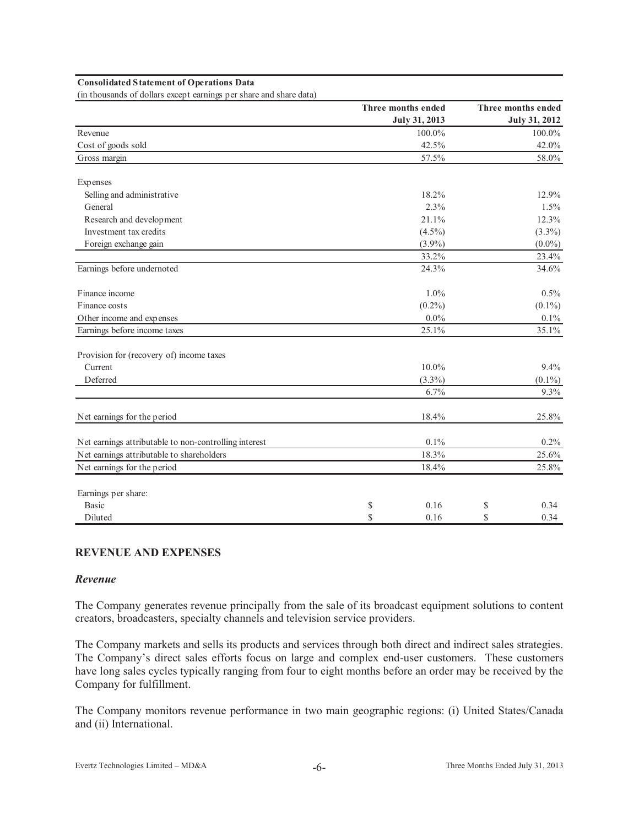#### **Consolidated Statement of Operations Data**

(in thousands of dollars except earnings per share and share data)

|                                                       | Three months ended   | Three months ended   |
|-------------------------------------------------------|----------------------|----------------------|
|                                                       | <b>July 31, 2013</b> | <b>July 31, 2012</b> |
| Revenue                                               | 100.0%               | 100.0%               |
| Cost of goods sold                                    | 42.5%                | 42.0%                |
| Gross margin                                          | 57.5%                | 58.0%                |
| Expenses                                              |                      |                      |
| Selling and administrative                            | 18.2%                | 12.9%                |
| General                                               | 2.3%                 | 1.5%                 |
| Research and development                              | 21.1%                | 12.3%                |
| Investment tax credits                                | $(4.5\%)$            | $(3.3\%)$            |
| Foreign exchange gain                                 | $(3.9\%)$            | $(0.0\%)$            |
|                                                       | 33.2%                | 23.4%                |
| Earnings before undernoted                            | 24.3%                | 34.6%                |
| Finance income                                        | $1.0\%$              | 0.5%                 |
| Finance costs                                         | $(0.2\%)$            | $(0.1\%)$            |
| Other income and expenses                             | $0.0\%$              | $0.1\%$              |
| Earnings before income taxes                          | 25.1%                | 35.1%                |
| Provision for (recovery of) income taxes              |                      |                      |
| Current                                               | $10.0\%$             | 9.4%                 |
| Deferred                                              | $(3.3\%)$            | $(0.1\%)$            |
|                                                       | 6.7%                 | 9.3%                 |
| Net earnings for the period                           | 18.4%                | 25.8%                |
| Net earnings attributable to non-controlling interest | 0.1%                 | $0.2\%$              |
| Net earnings attributable to shareholders             | 18.3%                | 25.6%                |
| Net earnings for the period                           | 18.4%                | 25.8%                |
| Earnings per share:                                   |                      |                      |
| <b>Basic</b>                                          | 0.16<br>\$           | \$<br>0.34           |
| Diluted                                               | \$<br>0.16           | \$<br>0.34           |

#### **REVENUE AND EXPENSES**

#### *Revenue*

The Company generates revenue principally from the sale of its broadcast equipment solutions to content creators, broadcasters, specialty channels and television service providers.

The Company markets and sells its products and services through both direct and indirect sales strategies. The Company's direct sales efforts focus on large and complex end-user customers. These customers have long sales cycles typically ranging from four to eight months before an order may be received by the Company for fulfillment.

The Company monitors revenue performance in two main geographic regions: (i) United States/Canada and (ii) International.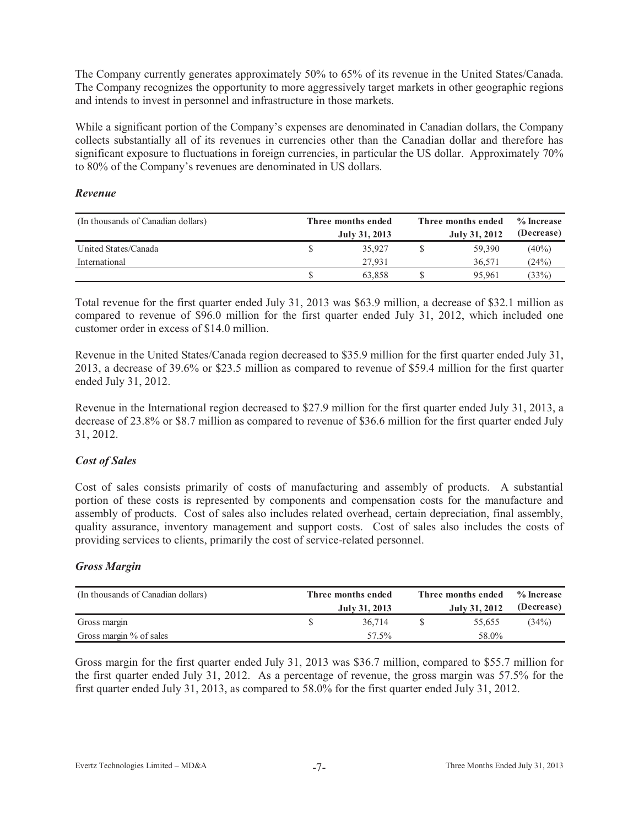The Company currently generates approximately 50% to 65% of its revenue in the United States/Canada. The Company recognizes the opportunity to more aggressively target markets in other geographic regions and intends to invest in personnel and infrastructure in those markets.

While a significant portion of the Company's expenses are denominated in Canadian dollars, the Company collects substantially all of its revenues in currencies other than the Canadian dollar and therefore has significant exposure to fluctuations in foreign currencies, in particular the US dollar. Approximately 70% to 80% of the Company's revenues are denominated in US dollars.

#### *Revenue*

| (In thousands of Canadian dollars) | Three months ended<br>July 31, 2013 |        |  |        |          |  |
|------------------------------------|-------------------------------------|--------|--|--------|----------|--|
| United States/Canada               |                                     | 35.927 |  | 59,390 | $(40\%)$ |  |
| International                      |                                     | 27.931 |  | 36.571 | (24%)    |  |
|                                    |                                     | 63.858 |  | 95,961 | (33%)    |  |

Total revenue for the first quarter ended July 31, 2013 was \$63.9 million, a decrease of \$32.1 million as compared to revenue of \$96.0 million for the first quarter ended July 31, 2012, which included one customer order in excess of \$14.0 million.

Revenue in the United States/Canada region decreased to \$35.9 million for the first quarter ended July 31, 2013, a decrease of 39.6% or \$23.5 million as compared to revenue of \$59.4 million for the first quarter ended July 31, 2012.

Revenue in the International region decreased to \$27.9 million for the first quarter ended July 31, 2013, a decrease of 23.8% or \$8.7 million as compared to revenue of \$36.6 million for the first quarter ended July 31, 2012.

### *Cost of Sales*

Cost of sales consists primarily of costs of manufacturing and assembly of products. A substantial portion of these costs is represented by components and compensation costs for the manufacture and assembly of products. Cost of sales also includes related overhead, certain depreciation, final assembly, quality assurance, inventory management and support costs. Cost of sales also includes the costs of providing services to clients, primarily the cost of service-related personnel.

### *Gross Margin*

| (In thousands of Canadian dollars) | Three months ended<br>July 31, 2013 | Three months ended | % Increase<br>(Decrease) |       |  |
|------------------------------------|-------------------------------------|--------------------|--------------------------|-------|--|
| Gross margin                       | 36.714                              |                    | 55.655                   | (34%) |  |
| Gross margin % of sales            | 57.5%                               |                    | 58.0%                    |       |  |

Gross margin for the first quarter ended July 31, 2013 was \$36.7 million, compared to \$55.7 million for the first quarter ended July 31, 2012. As a percentage of revenue, the gross margin was 57.5% for the first quarter ended July 31, 2013, as compared to 58.0% for the first quarter ended July 31, 2012.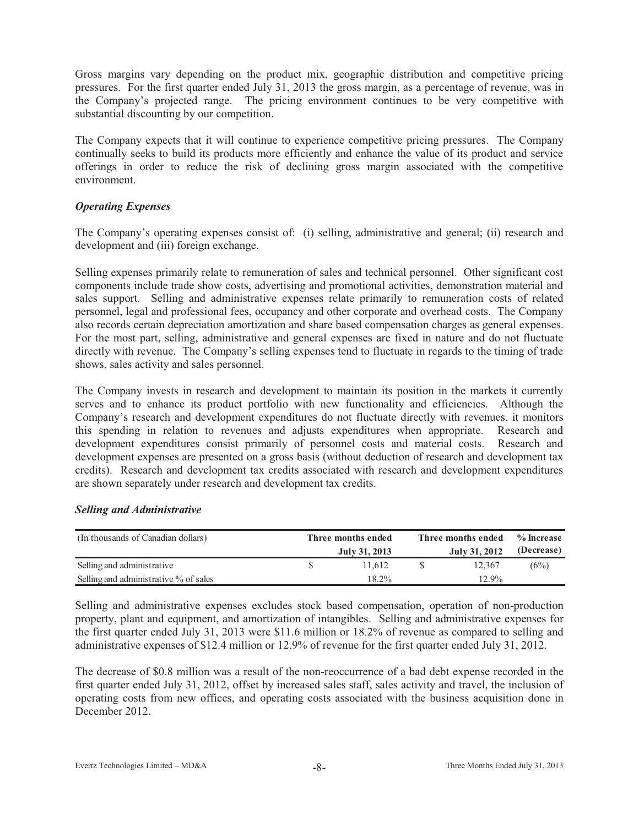Gross margins vary depending on the product mix, geographic distribution and competitive pricing pressures. For the first quarter ended July 31, 2013 the gross margin, as a percentage of revenue, was in the Company's projected range. The pricing environment continues to be very competitive with substantial discounting by our competition.

The Company expects that it will continue to experience competitive pricing pressures. The Company continually seeks to build its products more efficiently and enhance the value of its product and service offerings in order to reduce the risk of declining gross margin associated with the competitive environment.

### *Operating Expenses*

The Company's operating expenses consist of: (i) selling, administrative and general; (ii) research and development and (iii) foreign exchange.

Selling expenses primarily relate to remuneration of sales and technical personnel. Other significant cost components include trade show costs, advertising and promotional activities, demonstration material and sales support. Selling and administrative expenses relate primarily to remuneration costs of related personnel, legal and professional fees, occupancy and other corporate and overhead costs. The Company also records certain depreciation amortization and share based compensation charges as general expenses. For the most part, selling, administrative and general expenses are fixed in nature and do not fluctuate directly with revenue. The Company's selling expenses tend to fluctuate in regards to the timing of trade shows, sales activity and sales personnel.

The Company invests in research and development to maintain its position in the markets it currently serves and to enhance its product portfolio with new functionality and efficiencies. Although the Company's research and development expenditures do not fluctuate directly with revenues, it monitors this spending in relation to revenues and adjusts expenditures when appropriate. Research and development expenditures consist primarily of personnel costs and material costs. Research and development expenses are presented on a gross basis (without deduction of research and development tax credits). Research and development tax credits associated with research and development expenditures are shown separately under research and development tax credits.

| (In thousands of Canadian dollars)    | Three months ended<br>July 31, 2013 | Three months ended | $\%$ Increase<br>(Decrease) |      |  |
|---------------------------------------|-------------------------------------|--------------------|-----------------------------|------|--|
| Selling and administrative            | 11.612                              |                    | 12.367                      | (6%) |  |
| Selling and administrative % of sales | $18.2\%$                            |                    | $12.9\%$                    |      |  |

### *Selling and Administrative*

Selling and administrative expenses excludes stock based compensation, operation of non-production property, plant and equipment, and amortization of intangibles. Selling and administrative expenses for the first quarter ended July 31, 2013 were \$11.6 million or 18.2% of revenue as compared to selling and administrative expenses of \$12.4 million or 12.9% of revenue for the first quarter ended July 31, 2012.

The decrease of \$0.8 million was a result of the non-reoccurrence of a bad debt expense recorded in the first quarter ended July 31, 2012, offset by increased sales staff, sales activity and travel, the inclusion of operating costs from new offices, and operating costs associated with the business acquisition done in December 2012.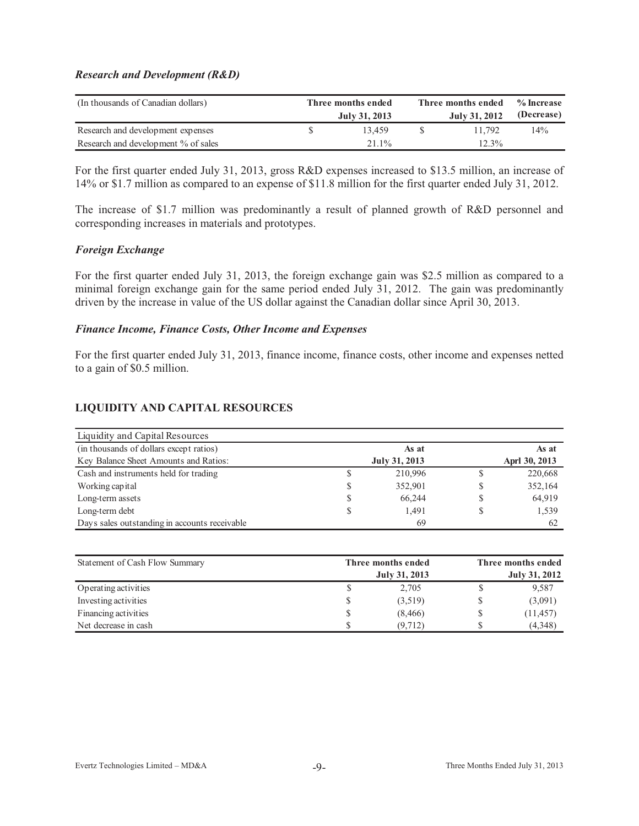#### *Research and Development (R&D)*

| (In thousands of Canadian dollars)  | Three months ended<br>July 31, 2013 | Three months ended<br>% Increase<br>(Decrease)<br>July 31, 2012 |          |        |  |  |  |
|-------------------------------------|-------------------------------------|-----------------------------------------------------------------|----------|--------|--|--|--|
| Research and development expenses   | 13.459                              |                                                                 | 11.792   | $14\%$ |  |  |  |
| Research and development % of sales | $21.1\%$                            |                                                                 | $12.3\%$ |        |  |  |  |

For the first quarter ended July 31, 2013, gross R&D expenses increased to \$13.5 million, an increase of 14% or \$1.7 million as compared to an expense of \$11.8 million for the first quarter ended July 31, 2012.

The increase of \$1.7 million was predominantly a result of planned growth of R&D personnel and corresponding increases in materials and prototypes.

#### *Foreign Exchange*

For the first quarter ended July 31, 2013, the foreign exchange gain was \$2.5 million as compared to a minimal foreign exchange gain for the same period ended July 31, 2012. The gain was predominantly driven by the increase in value of the US dollar against the Canadian dollar since April 30, 2013.

#### *Finance Income, Finance Costs, Other Income and Expenses*

For the first quarter ended July 31, 2013, finance income, finance costs, other income and expenses netted to a gain of \$0.5 million.

### **LIQUIDITY AND CAPITAL RESOURCES**

| Liquidity and Capital Resources               |    |               |   |               |
|-----------------------------------------------|----|---------------|---|---------------|
| (in thousands of dollars except ratios)       |    | As at         |   | As at         |
| Key Balance Sheet Amounts and Ratios:         |    | July 31, 2013 |   | Aprl 30, 2013 |
| Cash and instruments held for trading         |    | 210,996       | P | 220,668       |
| Working capital                               | S  | 352,901       |   | 352,164       |
| Long-term assets                              | S  | 66,244        | S | 64,919        |
| Long-term debt                                | \$ | 1.491         |   | 1,539         |
| Days sales outstanding in accounts receivable |    | 69            |   | 62            |

| Statement of Cash Flow Summary | Three months ended | Three months ended |                      |  |  |  |  |
|--------------------------------|--------------------|--------------------|----------------------|--|--|--|--|
|                                | July 31, 2013      |                    | <b>July 31, 2012</b> |  |  |  |  |
| Operating activities           | 2,705              |                    | 9,587                |  |  |  |  |
| Investing activities           | (3,519)            |                    | (3,091)              |  |  |  |  |
| Financing activities           | (8, 466)           |                    | (11, 457)            |  |  |  |  |
| Net decrease in cash           | (9,712)            |                    | (4,348)              |  |  |  |  |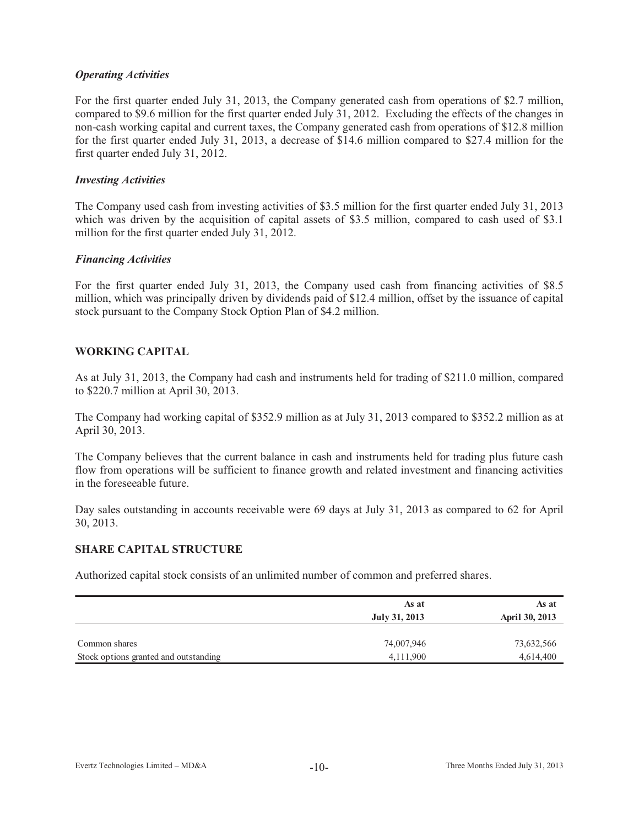### *Operating Activities*

For the first quarter ended July 31, 2013, the Company generated cash from operations of \$2.7 million, compared to \$9.6 million for the first quarter ended July 31, 2012. Excluding the effects of the changes in non-cash working capital and current taxes, the Company generated cash from operations of \$12.8 million for the first quarter ended July 31, 2013, a decrease of \$14.6 million compared to \$27.4 million for the first quarter ended July 31, 2012.

#### *Investing Activities*

The Company used cash from investing activities of \$3.5 million for the first quarter ended July 31, 2013 which was driven by the acquisition of capital assets of \$3.5 million, compared to cash used of \$3.1 million for the first quarter ended July 31, 2012.

#### *Financing Activities*

For the first quarter ended July 31, 2013, the Company used cash from financing activities of \$8.5 million, which was principally driven by dividends paid of \$12.4 million, offset by the issuance of capital stock pursuant to the Company Stock Option Plan of \$4.2 million.

### **WORKING CAPITAL**

As at July 31, 2013, the Company had cash and instruments held for trading of \$211.0 million, compared to \$220.7 million at April 30, 2013.

The Company had working capital of \$352.9 million as at July 31, 2013 compared to \$352.2 million as at April 30, 2013.

The Company believes that the current balance in cash and instruments held for trading plus future cash flow from operations will be sufficient to finance growth and related investment and financing activities in the foreseeable future.

Day sales outstanding in accounts receivable were 69 days at July 31, 2013 as compared to 62 for April 30, 2013.

#### **SHARE CAPITAL STRUCTURE**

Authorized capital stock consists of an unlimited number of common and preferred shares.

|                                       | As at<br>July 31, 2013 | As at<br>April 30, 2013 |
|---------------------------------------|------------------------|-------------------------|
| Common shares                         | 74,007,946             | 73,632,566              |
| Stock options granted and outstanding | 4,111,900              | 4,614,400               |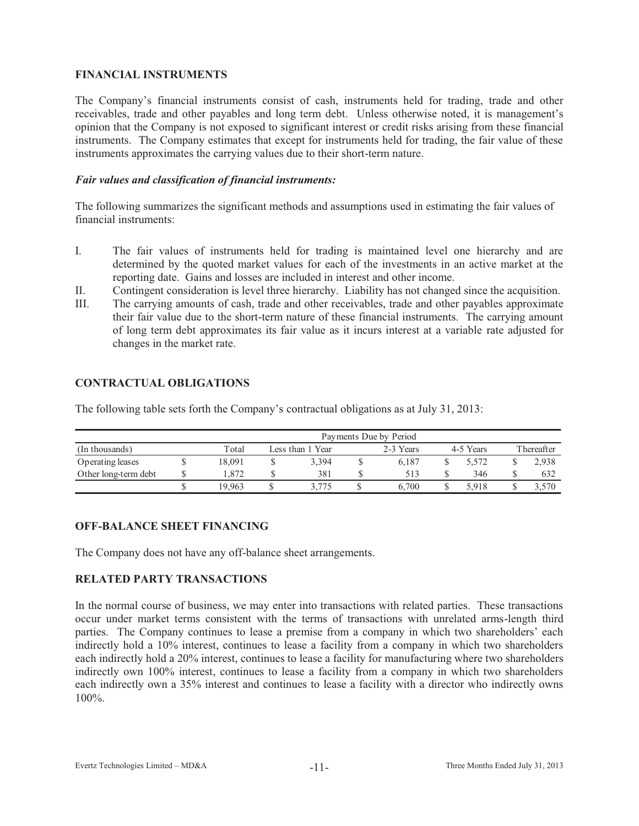### **FINANCIAL INSTRUMENTS**

The Company's financial instruments consist of cash, instruments held for trading, trade and other receivables, trade and other payables and long term debt. Unless otherwise noted, it is management's opinion that the Company is not exposed to significant interest or credit risks arising from these financial instruments. The Company estimates that except for instruments held for trading, the fair value of these instruments approximates the carrying values due to their short-term nature.

### *Fair values and classification of financial instruments:*

The following summarizes the significant methods and assumptions used in estimating the fair values of financial instruments:

- I. The fair values of instruments held for trading is maintained level one hierarchy and are determined by the quoted market values for each of the investments in an active market at the reporting date. Gains and losses are included in interest and other income.
- II. Contingent consideration is level three hierarchy. Liability has not changed since the acquisition.
- III. The carrying amounts of cash, trade and other receivables, trade and other payables approximate their fair value due to the short-term nature of these financial instruments. The carrying amount of long term debt approximates its fair value as it incurs interest at a variable rate adjusted for changes in the market rate.

### **CONTRACTUAL OBLIGATIONS**

The following table sets forth the Company's contractual obligations as at July 31, 2013:

|                      | Payments Due by Period |        |                  |       |  |           |  |           |            |       |  |  |  |
|----------------------|------------------------|--------|------------------|-------|--|-----------|--|-----------|------------|-------|--|--|--|
| (In thousands)       |                        | Total  | Less than 1 Year |       |  | 2-3 Years |  | 4-5 Years | Thereafter |       |  |  |  |
| Operating leases     |                        | 18.091 |                  | 3.394 |  | 6.187     |  | 5.572     |            | 2,938 |  |  |  |
| Other long-term debt |                        | 1.872  |                  | 381   |  | 513       |  | 346       |            | 632   |  |  |  |
|                      |                        | 19.963 |                  | 3.775 |  | 6.700     |  | 5.918     |            | 3,570 |  |  |  |

### **OFF-BALANCE SHEET FINANCING**

The Company does not have any off-balance sheet arrangements.

### **RELATED PARTY TRANSACTIONS**

In the normal course of business, we may enter into transactions with related parties. These transactions occur under market terms consistent with the terms of transactions with unrelated arms-length third parties. The Company continues to lease a premise from a company in which two shareholders' each indirectly hold a 10% interest, continues to lease a facility from a company in which two shareholders each indirectly hold a 20% interest, continues to lease a facility for manufacturing where two shareholders indirectly own 100% interest, continues to lease a facility from a company in which two shareholders each indirectly own a 35% interest and continues to lease a facility with a director who indirectly owns 100%.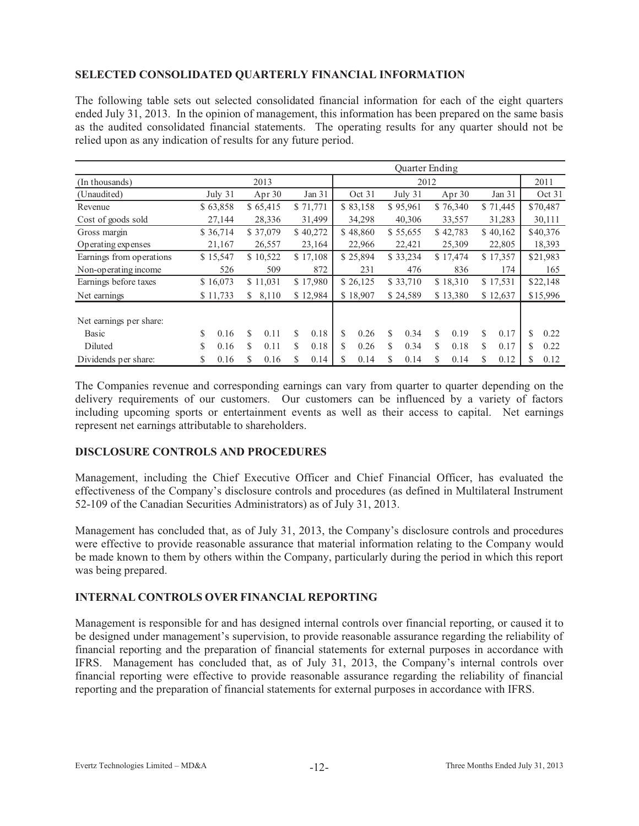### **SELECTED CONSOLIDATED QUARTERLY FINANCIAL INFORMATION**

The following table sets out selected consolidated financial information for each of the eight quarters ended July 31, 2013. In the opinion of management, this information has been prepared on the same basis as the audited consolidated financial statements. The operating results for any quarter should not be relied upon as any indication of results for any future period.

|                          | Quarter Ending |           |    |                      |   |          |        |                      |          |          |          |          |          |          |          |          |
|--------------------------|----------------|-----------|----|----------------------|---|----------|--------|----------------------|----------|----------|----------|----------|----------|----------|----------|----------|
| (In thousands)           |                |           |    | 2013                 |   |          | 2012   |                      |          |          |          |          |          |          |          | 2011     |
| (Unaudited)              |                | July $31$ |    | Apr $30$             |   | Jan 31   |        | Oct 31               |          | July 31  |          | Apr $30$ | Jan 31   |          |          | Oct 31   |
| Revenue                  |                | \$63,858  |    | \$65,415             |   | \$71,771 |        | \$83,158             |          | \$95,961 |          | \$76,340 |          | \$71,445 |          | \$70,487 |
| Cost of goods sold       |                | 27,144    |    | 28,336               |   | 31,499   |        | 34,298               |          | 40,306   |          | 33,557   |          | 31,283   |          | 30,111   |
| Gross margin             |                | \$36,714  |    | \$37,079             |   | \$40,272 |        | \$48,860             |          | \$55,655 |          | \$42,783 |          | \$40,162 |          | \$40,376 |
| Operating expenses       |                | 21,167    |    | 26,557<br>23,164     |   |          | 22,966 | 22,421               |          |          | 25,309   |          | 22,805   | 18,393   |          |          |
| Earnings from operations |                | \$15,547  |    | \$17,108<br>\$10,522 |   |          |        | \$25,894<br>\$33,234 |          | \$17,474 |          | \$17,357 |          | \$21,983 |          |          |
| Non-operating income     |                | 526       |    | 509                  |   | 872      | 231    |                      | 476      |          | 836      |          | 174      |          | 165      |          |
| Earnings before taxes    |                | \$16,073  |    | \$11,031             |   | \$17,980 |        | \$26,125             | \$33,710 |          | \$18,310 |          | \$17,531 |          | \$22,148 |          |
| Net earnings             |                | \$11,733  | \$ | 8,110                |   | \$12,984 |        | \$18,907             |          | \$24,589 |          | \$13,380 |          | \$12,637 |          | \$15,996 |
| Net earnings per share:  |                |           |    |                      |   |          |        |                      |          |          |          |          |          |          |          |          |
| Basic                    | S              | 0.16      | S  | 0.11                 | S | 0.18     | S      | 0.26                 | S.       | 0.34     | S        | 0.19     | \$       | 0.17     | S        | 0.22     |
| Diluted                  | S              | 0.16      | S  | 0.11                 | S | 0.18     | S      | 0.26                 | S        | 0.34     | S        | 0.18     | S        | 0.17     | S        | 0.22     |
| Dividends per share:     | S              | 0.16      | S  | 0.16                 | S | 0.14     | S      | 0.14                 | S        | 0.14     | S        | 0.14     | \$       | 0.12     | S        | 0.12     |

The Companies revenue and corresponding earnings can vary from quarter to quarter depending on the delivery requirements of our customers. Our customers can be influenced by a variety of factors including upcoming sports or entertainment events as well as their access to capital. Net earnings represent net earnings attributable to shareholders.

### **DISCLOSURE CONTROLS AND PROCEDURES**

Management, including the Chief Executive Officer and Chief Financial Officer, has evaluated the effectiveness of the Company's disclosure controls and procedures (as defined in Multilateral Instrument 52-109 of the Canadian Securities Administrators) as of July 31, 2013.

Management has concluded that, as of July 31, 2013, the Company's disclosure controls and procedures were effective to provide reasonable assurance that material information relating to the Company would be made known to them by others within the Company, particularly during the period in which this report was being prepared.

### **INTERNAL CONTROLS OVER FINANCIAL REPORTING**

Management is responsible for and has designed internal controls over financial reporting, or caused it to be designed under management's supervision, to provide reasonable assurance regarding the reliability of financial reporting and the preparation of financial statements for external purposes in accordance with IFRS. Management has concluded that, as of July 31, 2013, the Company's internal controls over financial reporting were effective to provide reasonable assurance regarding the reliability of financial reporting and the preparation of financial statements for external purposes in accordance with IFRS.